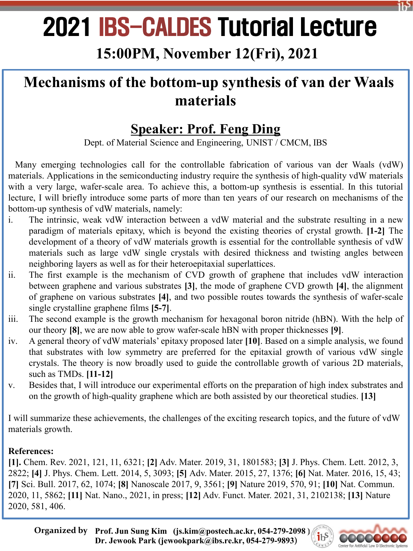# 2021 IBS-CALDES Tutorial Lecture

## **15:00PM, November 12(Fri), 2021**

# **Mechanisms of the bottom-up synthesis of van der Waals materials**

### **Speaker: Prof. Feng Ding**

Dept. of Material Science and Engineering, UNIST / CMCM, IBS

Many emerging technologies call for the controllable fabrication of various van der Waals (vdW) materials. Applications in the semiconducting industry require the synthesis of high-quality vdW materials with a very large, wafer-scale area. To achieve this, a bottom-up synthesis is essential. In this tutorial lecture, I will briefly introduce some parts of more than ten years of our research on mechanisms of the bottom-up synthesis of vdW materials, namely:

- i. The intrinsic, weak vdW interaction between a vdW material and the substrate resulting in a new paradigm of materials epitaxy, which is beyond the existing theories of crystal growth. **[1-2]** The development of a theory of vdW materials growth is essential for the controllable synthesis of vdW materials such as large vdW single crystals with desired thickness and twisting angles between neighboring layers as well as for their heteroepitaxial superlattices.
- ii. The first example is the mechanism of CVD growth of graphene that includes vdW interaction between graphene and various substrates **[3]**, the mode of graphene CVD growth **[4]**, the alignment of graphene on various substrates **[4]**, and two possible routes towards the synthesis of wafer-scale single crystalline graphene films **[5-7]**.
- iii. The second example is the growth mechanism for hexagonal boron nitride (hBN). With the help of our theory **[8]**, we are now able to grow wafer-scale hBN with proper thicknesses **[9]**.
- iv. A general theory of vdW materials' epitaxy proposed later **[10]**. Based on a simple analysis, we found that substrates with low symmetry are preferred for the epitaxial growth of various vdW single crystals. The theory is now broadly used to guide the controllable growth of various 2D materials, such as TMDs. **[11-12]**
- v. Besides that, I will introduce our experimental efforts on the preparation of high index substrates and on the growth of high-quality graphene which are both assisted by our theoretical studies. **[13]**

I will summarize these achievements, the challenges of the exciting research topics, and the future of vdW materials growth.

#### **References:**

**[1].** Chem. Rev. 2021, 121, 11, 6321; **[2]** Adv. Mater. 2019, 31, 1801583; **[3]** J. Phys. Chem. Lett. 2012, 3, 2822; **[4]** J. Phys. Chem. Lett. 2014, 5, 3093; **[5]** Adv. Mater. 2015, 27, 1376; **[6]** Nat. Mater. 2016, 15, 43; **[7]** Sci. Bull. 2017, 62, 1074; **[8]** Nanoscale 2017, 9, 3561; **[9]** Nature 2019, 570, 91; **[10]** Nat. Commun. 2020, 11, 5862; **[11]** Nat. Nano., 2021, in press; **[12]** Adv. Funct. Mater. 2021, 31, 2102138; **[13]** Nature 2020, 581, 406.